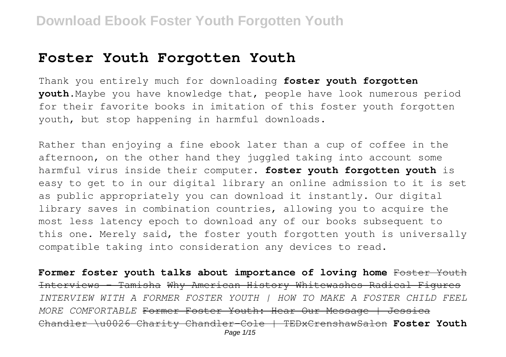#### **Foster Youth Forgotten Youth**

Thank you entirely much for downloading **foster youth forgotten youth**.Maybe you have knowledge that, people have look numerous period for their favorite books in imitation of this foster youth forgotten youth, but stop happening in harmful downloads.

Rather than enjoying a fine ebook later than a cup of coffee in the afternoon, on the other hand they juggled taking into account some harmful virus inside their computer. **foster youth forgotten youth** is easy to get to in our digital library an online admission to it is set as public appropriately you can download it instantly. Our digital library saves in combination countries, allowing you to acquire the most less latency epoch to download any of our books subsequent to this one. Merely said, the foster youth forgotten youth is universally compatible taking into consideration any devices to read.

**Former foster youth talks about importance of loving home** Foster Youth Interviews - Tamisha Why American History Whitewashes Radical Figures *INTERVIEW WITH A FORMER FOSTER YOUTH | HOW TO MAKE A FOSTER CHILD FEEL MORE COMFORTABLE* Former Foster Youth: Hear Our Message | Jessica Chandler \u0026 Charity Chandler-Cole | TEDxCrenshawSalon **Foster Youth** Page 1/15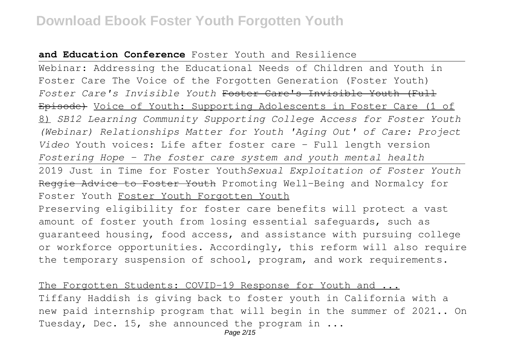#### **and Education Conference** Foster Youth and Resilience

Webinar: Addressing the Educational Needs of Children and Youth in Foster Care The Voice of the Forgotten Generation (Foster Youth) *Foster Care's Invisible Youth* Foster Care's Invisible Youth (Full Episode) Voice of Youth: Supporting Adolescents in Foster Care (1 of 8) *SB12 Learning Community Supporting College Access for Foster Youth (Webinar) Relationships Matter for Youth 'Aging Out' of Care: Project Video* Youth voices: Life after foster care - Full length version *Fostering Hope - The foster care system and youth mental health* 2019 Just in Time for Foster Youth*Sexual Exploitation of Foster Youth* Reggie Advice to Foster Youth Promoting Well-Being and Normalcy for Foster Youth Foster Youth Forgotten Youth Preserving eligibility for foster care benefits will protect a vast amount of foster youth from losing essential safeguards, such as guaranteed housing, food access, and assistance with pursuing college or workforce opportunities. Accordingly, this reform will also require the temporary suspension of school, program, and work requirements.

The Forgotten Students: COVID-19 Response for Youth and ... Tiffany Haddish is giving back to foster youth in California with a new paid internship program that will begin in the summer of 2021.. On Tuesday, Dec. 15, she announced the program in ...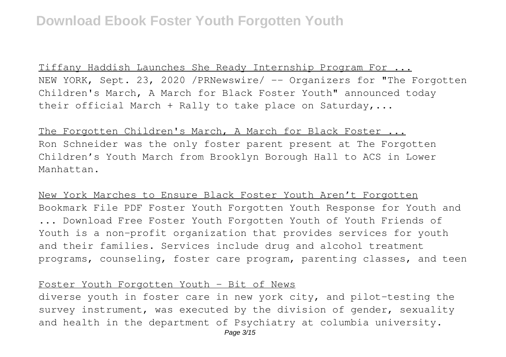Tiffany Haddish Launches She Ready Internship Program For ... NEW YORK, Sept. 23, 2020 /PRNewswire/ -- Organizers for "The Forgotten Children's March, A March for Black Foster Youth" announced today their official March + Rally to take place on Saturday,...

The Forgotten Children's March, A March for Black Foster ... Ron Schneider was the only foster parent present at The Forgotten Children's Youth March from Brooklyn Borough Hall to ACS in Lower Manhattan.

New York Marches to Ensure Black Foster Youth Aren't Forgotten Bookmark File PDF Foster Youth Forgotten Youth Response for Youth and ... Download Free Foster Youth Forgotten Youth of Youth Friends of Youth is a non-profit organization that provides services for youth and their families. Services include drug and alcohol treatment programs, counseling, foster care program, parenting classes, and teen

#### Foster Youth Forgotten Youth - Bit of News

diverse youth in foster care in new york city, and pilot-testing the survey instrument, was executed by the division of gender, sexuality and health in the department of Psychiatry at columbia university.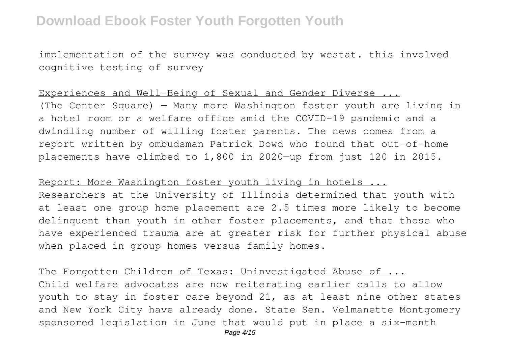implementation of the survey was conducted by westat. this involved cognitive testing of survey

#### Experiences and Well-Being of Sexual and Gender Diverse ...

(The Center Square) — Many more Washington foster youth are living in a hotel room or a welfare office amid the COVID-19 pandemic and a dwindling number of willing foster parents. The news comes from a report written by ombudsman Patrick Dowd who found that out-of-home placements have climbed to 1,800 in 2020—up from just 120 in 2015.

Report: More Washington foster youth living in hotels ... Researchers at the University of Illinois determined that youth with at least one group home placement are 2.5 times more likely to become delinquent than youth in other foster placements, and that those who have experienced trauma are at greater risk for further physical abuse when placed in group homes versus family homes.

The Forgotten Children of Texas: Uninvestigated Abuse of ... Child welfare advocates are now reiterating earlier calls to allow youth to stay in foster care beyond 21, as at least nine other states and New York City have already done. State Sen. Velmanette Montgomery sponsored legislation in June that would put in place a six-month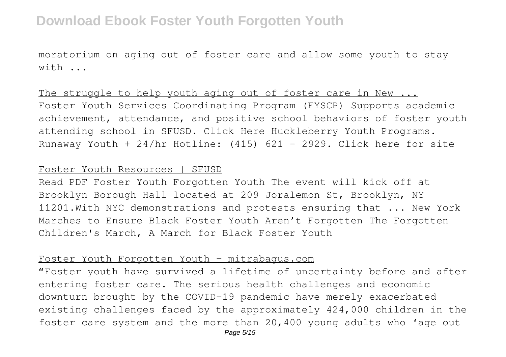moratorium on aging out of foster care and allow some youth to stay  $w + h$ 

The struggle to help youth aging out of foster care in New ... Foster Youth Services Coordinating Program (FYSCP) Supports academic achievement, attendance, and positive school behaviors of foster youth attending school in SFUSD. Click Here Huckleberry Youth Programs. Runaway Youth + 24/hr Hotline: (415) 621 - 2929. Click here for site

#### Foster Youth Resources | SFUSD

Read PDF Foster Youth Forgotten Youth The event will kick off at Brooklyn Borough Hall located at 209 Joralemon St, Brooklyn, NY 11201.With NYC demonstrations and protests ensuring that ... New York Marches to Ensure Black Foster Youth Aren't Forgotten The Forgotten Children's March, A March for Black Foster Youth

#### Foster Youth Forgotten Youth - mitrabagus.com

"Foster youth have survived a lifetime of uncertainty before and after entering foster care. The serious health challenges and economic downturn brought by the COVID-19 pandemic have merely exacerbated existing challenges faced by the approximately 424,000 children in the foster care system and the more than 20,400 young adults who 'age out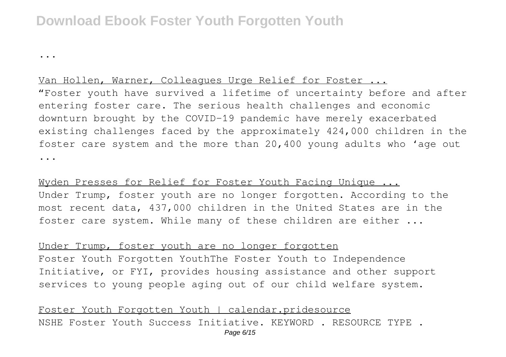...

#### Van Hollen, Warner, Colleagues Urge Relief for Foster ...

"Foster youth have survived a lifetime of uncertainty before and after entering foster care. The serious health challenges and economic downturn brought by the COVID-19 pandemic have merely exacerbated existing challenges faced by the approximately 424,000 children in the foster care system and the more than 20,400 young adults who 'age out ...

Wyden Presses for Relief for Foster Youth Facing Unique ... Under Trump, foster youth are no longer forgotten. According to the most recent data, 437,000 children in the United States are in the foster care system. While many of these children are either ...

Under Trump, foster youth are no longer forgotten Foster Youth Forgotten YouthThe Foster Youth to Independence Initiative, or FYI, provides housing assistance and other support services to young people aging out of our child welfare system.

Foster Youth Forgotten Youth | calendar.pridesource NSHE Foster Youth Success Initiative. KEYWORD . RESOURCE TYPE .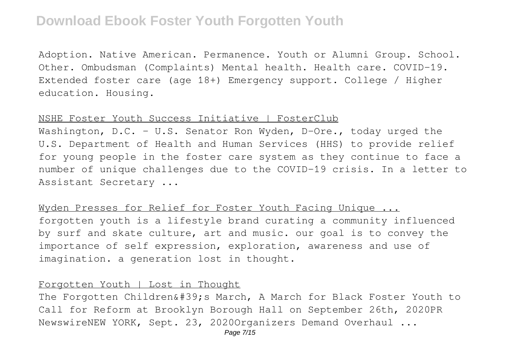Adoption. Native American. Permanence. Youth or Alumni Group. School. Other. Ombudsman (Complaints) Mental health. Health care. COVID-19. Extended foster care (age 18+) Emergency support. College / Higher education. Housing.

#### NSHE Foster Youth Success Initiative | FosterClub

Washington, D.C. - U.S. Senator Ron Wyden, D-Ore., today urged the U.S. Department of Health and Human Services (HHS) to provide relief for young people in the foster care system as they continue to face a number of unique challenges due to the COVID-19 crisis. In a letter to Assistant Secretary ...

Wyden Presses for Relief for Foster Youth Facing Unique ... forgotten youth is a lifestyle brand curating a community influenced by surf and skate culture, art and music. our goal is to convey the importance of self expression, exploration, awareness and use of imagination. a generation lost in thought.

#### Forgotten Youth | Lost in Thought

The Forgotten Children' March, A March for Black Foster Youth to Call for Reform at Brooklyn Borough Hall on September 26th, 2020PR NewswireNEW YORK, Sept. 23, 2020Organizers Demand Overhaul ...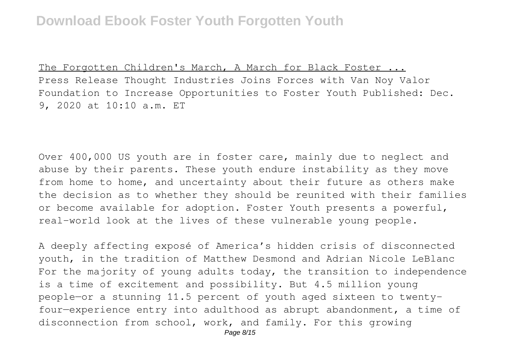The Forgotten Children's March, A March for Black Foster ... Press Release Thought Industries Joins Forces with Van Noy Valor Foundation to Increase Opportunities to Foster Youth Published: Dec. 9, 2020 at 10:10 a.m. ET

Over 400,000 US youth are in foster care, mainly due to neglect and abuse by their parents. These youth endure instability as they move from home to home, and uncertainty about their future as others make the decision as to whether they should be reunited with their families or become available for adoption. Foster Youth presents a powerful, real-world look at the lives of these vulnerable young people.

A deeply affecting exposé of America's hidden crisis of disconnected youth, in the tradition of Matthew Desmond and Adrian Nicole LeBlanc For the majority of young adults today, the transition to independence is a time of excitement and possibility. But 4.5 million young people—or a stunning 11.5 percent of youth aged sixteen to twentyfour—experience entry into adulthood as abrupt abandonment, a time of disconnection from school, work, and family. For this growing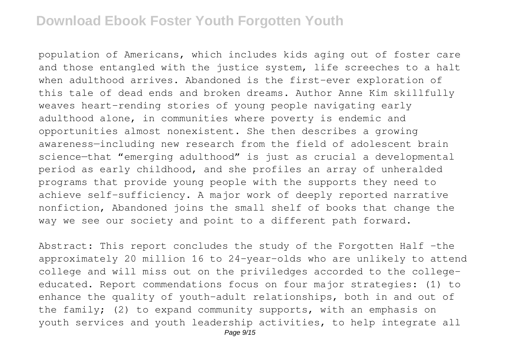population of Americans, which includes kids aging out of foster care and those entangled with the justice system, life screeches to a halt when adulthood arrives. Abandoned is the first-ever exploration of this tale of dead ends and broken dreams. Author Anne Kim skillfully weaves heart-rending stories of young people navigating early adulthood alone, in communities where poverty is endemic and opportunities almost nonexistent. She then describes a growing awareness—including new research from the field of adolescent brain science—that "emerging adulthood" is just as crucial a developmental period as early childhood, and she profiles an array of unheralded programs that provide young people with the supports they need to achieve self-sufficiency. A major work of deeply reported narrative nonfiction, Abandoned joins the small shelf of books that change the way we see our society and point to a different path forward.

Abstract: This report concludes the study of the Forgotten Half -the approximately 20 million 16 to 24-year-olds who are unlikely to attend college and will miss out on the priviledges accorded to the collegeeducated. Report commendations focus on four major strategies: (1) to enhance the quality of youth-adult relationships, both in and out of the family; (2) to expand community supports, with an emphasis on youth services and youth leadership activities, to help integrate all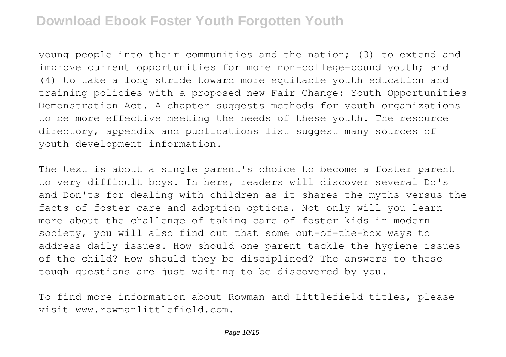young people into their communities and the nation; (3) to extend and improve current opportunities for more non-college-bound youth; and (4) to take a long stride toward more equitable youth education and training policies with a proposed new Fair Change: Youth Opportunities Demonstration Act. A chapter suggests methods for youth organizations to be more effective meeting the needs of these youth. The resource directory, appendix and publications list suggest many sources of youth development information.

The text is about a single parent's choice to become a foster parent to very difficult boys. In here, readers will discover several Do's and Don'ts for dealing with children as it shares the myths versus the facts of foster care and adoption options. Not only will you learn more about the challenge of taking care of foster kids in modern society, you will also find out that some out-of-the-box ways to address daily issues. How should one parent tackle the hygiene issues of the child? How should they be disciplined? The answers to these tough questions are just waiting to be discovered by you.

To find more information about Rowman and Littlefield titles, please visit www.rowmanlittlefield.com.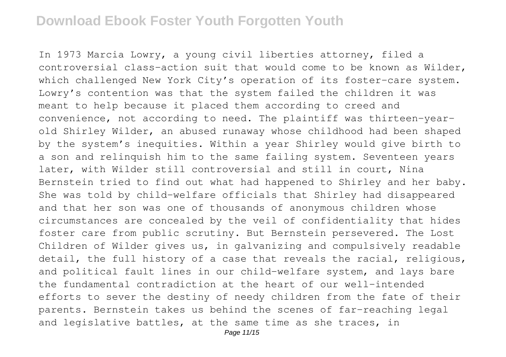In 1973 Marcia Lowry, a young civil liberties attorney, filed a controversial class-action suit that would come to be known as Wilder, which challenged New York City's operation of its foster-care system. Lowry's contention was that the system failed the children it was meant to help because it placed them according to creed and convenience, not according to need. The plaintiff was thirteen-yearold Shirley Wilder, an abused runaway whose childhood had been shaped by the system's inequities. Within a year Shirley would give birth to a son and relinquish him to the same failing system. Seventeen years later, with Wilder still controversial and still in court, Nina Bernstein tried to find out what had happened to Shirley and her baby. She was told by child-welfare officials that Shirley had disappeared and that her son was one of thousands of anonymous children whose circumstances are concealed by the veil of confidentiality that hides foster care from public scrutiny. But Bernstein persevered. The Lost Children of Wilder gives us, in galvanizing and compulsively readable detail, the full history of a case that reveals the racial, religious, and political fault lines in our child-welfare system, and lays bare the fundamental contradiction at the heart of our well-intended efforts to sever the destiny of needy children from the fate of their parents. Bernstein takes us behind the scenes of far-reaching legal and legislative battles, at the same time as she traces, in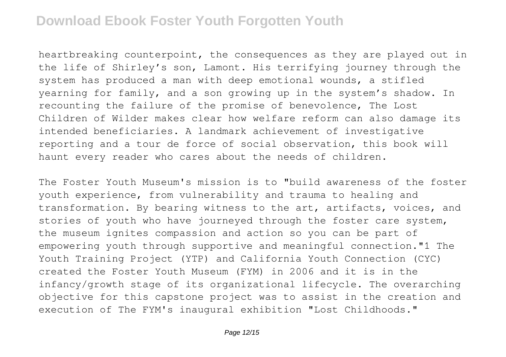heartbreaking counterpoint, the consequences as they are played out in the life of Shirley's son, Lamont. His terrifying journey through the system has produced a man with deep emotional wounds, a stifled yearning for family, and a son growing up in the system's shadow. In recounting the failure of the promise of benevolence, The Lost Children of Wilder makes clear how welfare reform can also damage its intended beneficiaries. A landmark achievement of investigative reporting and a tour de force of social observation, this book will haunt every reader who cares about the needs of children.

The Foster Youth Museum's mission is to "build awareness of the foster youth experience, from vulnerability and trauma to healing and transformation. By bearing witness to the art, artifacts, voices, and stories of youth who have journeyed through the foster care system, the museum ignites compassion and action so you can be part of empowering youth through supportive and meaningful connection."1 The Youth Training Project (YTP) and California Youth Connection (CYC) created the Foster Youth Museum (FYM) in 2006 and it is in the infancy/growth stage of its organizational lifecycle. The overarching objective for this capstone project was to assist in the creation and execution of The FYM's inaugural exhibition "Lost Childhoods."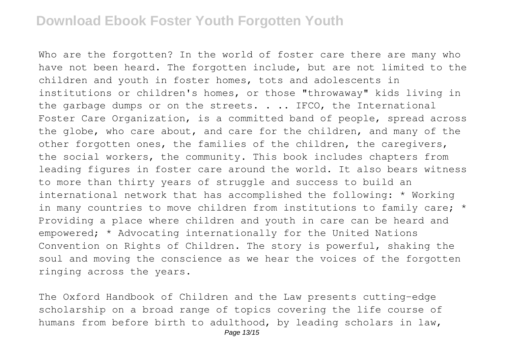Who are the forgotten? In the world of foster care there are many who have not been heard. The forgotten include, but are not limited to the children and youth in foster homes, tots and adolescents in institutions or children's homes, or those "throwaway" kids living in the garbage dumps or on the streets.  $\ldots$  IFCO, the International Foster Care Organization, is a committed band of people, spread across the globe, who care about, and care for the children, and many of the other forgotten ones, the families of the children, the caregivers, the social workers, the community. This book includes chapters from leading figures in foster care around the world. It also bears witness to more than thirty years of struggle and success to build an international network that has accomplished the following: \* Working in many countries to move children from institutions to family care; \* Providing a place where children and youth in care can be heard and empowered; \* Advocating internationally for the United Nations Convention on Rights of Children. The story is powerful, shaking the soul and moving the conscience as we hear the voices of the forgotten ringing across the years.

The Oxford Handbook of Children and the Law presents cutting-edge scholarship on a broad range of topics covering the life course of humans from before birth to adulthood, by leading scholars in law,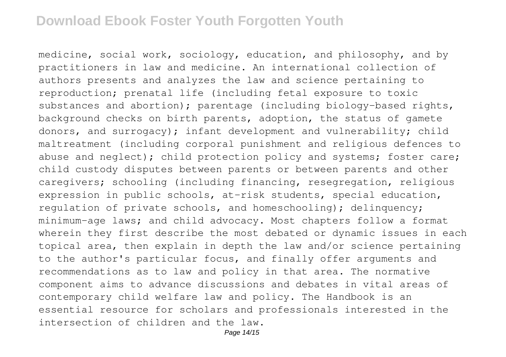medicine, social work, sociology, education, and philosophy, and by practitioners in law and medicine. An international collection of authors presents and analyzes the law and science pertaining to reproduction; prenatal life (including fetal exposure to toxic substances and abortion); parentage (including biology-based rights, background checks on birth parents, adoption, the status of gamete donors, and surrogacy); infant development and vulnerability; child maltreatment (including corporal punishment and religious defences to abuse and neglect); child protection policy and systems; foster care; child custody disputes between parents or between parents and other caregivers; schooling (including financing, resegregation, religious expression in public schools, at-risk students, special education, regulation of private schools, and homeschooling); delinquency; minimum-age laws; and child advocacy. Most chapters follow a format wherein they first describe the most debated or dynamic issues in each topical area, then explain in depth the law and/or science pertaining to the author's particular focus, and finally offer arguments and recommendations as to law and policy in that area. The normative component aims to advance discussions and debates in vital areas of contemporary child welfare law and policy. The Handbook is an essential resource for scholars and professionals interested in the intersection of children and the law.